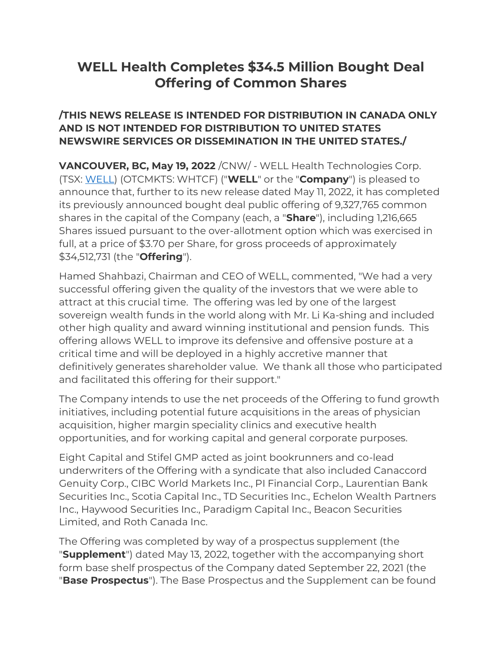# **WELL Health Completes \$34.5 Million Bought Deal Offering of Common Shares**

### **/THIS NEWS RELEASE IS INTENDED FOR DISTRIBUTION IN CANADA ONLY AND IS NOT INTENDED FOR DISTRIBUTION TO UNITED STATES NEWSWIRE SERVICES OR DISSEMINATION IN THE UNITED STATES./**

**VANCOUVER, BC, May 19, 2022** /CNW/ - WELL Health Technologies Corp. (TSX: [WELL\)](https://www.newswire.ca/news-releases/well-health-completes-34-5-million-bought-deal-offering-of-common-shares-822164126.html#financial-modal) (OTCMKTS: WHTCF) ("**WELL**" or the "**Company**") is pleased to announce that, further to its new release dated May 11, 2022, it has completed its previously announced bought deal public offering of 9,327,765 common shares in the capital of the Company (each, a "**Share**"), including 1,216,665 Shares issued pursuant to the over-allotment option which was exercised in full, at a price of \$3.70 per Share, for gross proceeds of approximately \$34,512,731 (the "**Offering**").

Hamed Shahbazi, Chairman and CEO of WELL, commented, "We had a very successful offering given the quality of the investors that we were able to attract at this crucial time. The offering was led by one of the largest sovereign wealth funds in the world along with Mr. Li Ka-shing and included other high quality and award winning institutional and pension funds. This offering allows WELL to improve its defensive and offensive posture at a critical time and will be deployed in a highly accretive manner that definitively generates shareholder value. We thank all those who participated and facilitated this offering for their support."

The Company intends to use the net proceeds of the Offering to fund growth initiatives, including potential future acquisitions in the areas of physician acquisition, higher margin speciality clinics and executive health opportunities, and for working capital and general corporate purposes.

Eight Capital and Stifel GMP acted as joint bookrunners and co-lead underwriters of the Offering with a syndicate that also included Canaccord Genuity Corp., CIBC World Markets Inc., PI Financial Corp., Laurentian Bank Securities Inc., Scotia Capital Inc., TD Securities Inc., Echelon Wealth Partners Inc., Haywood Securities Inc., Paradigm Capital Inc., Beacon Securities Limited, and Roth Canada Inc.

The Offering was completed by way of a prospectus supplement (the "**Supplement**") dated May 13, 2022, together with the accompanying short form base shelf prospectus of the Company dated September 22, 2021 (the "**Base Prospectus**"). The Base Prospectus and the Supplement can be found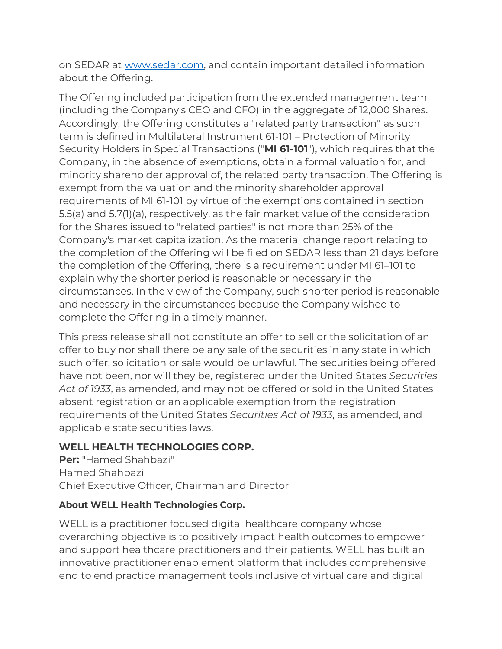on SEDAR at [www.sedar.com,](https://c212.net/c/link/?t=0&l=en&o=3542567-1&h=431439015&u=https%3A%2F%2Fwww.sedar.com%2F&a=www.sedar.com) and contain important detailed information about the Offering.

The Offering included participation from the extended management team (including the Company's CEO and CFO) in the aggregate of 12,000 Shares. Accordingly, the Offering constitutes a "related party transaction" as such term is defined in Multilateral Instrument 61-101 – Protection of Minority Security Holders in Special Transactions ("**MI 61-101**"), which requires that the Company, in the absence of exemptions, obtain a formal valuation for, and minority shareholder approval of, the related party transaction. The Offering is exempt from the valuation and the minority shareholder approval requirements of MI 61-101 by virtue of the exemptions contained in section 5.5(a) and 5.7(1)(a), respectively, as the fair market value of the consideration for the Shares issued to "related parties" is not more than 25% of the Company's market capitalization. As the material change report relating to the completion of the Offering will be filed on SEDAR less than 21 days before the completion of the Offering, there is a requirement under MI 61–101 to explain why the shorter period is reasonable or necessary in the circumstances. In the view of the Company, such shorter period is reasonable and necessary in the circumstances because the Company wished to complete the Offering in a timely manner.

This press release shall not constitute an offer to sell or the solicitation of an offer to buy nor shall there be any sale of the securities in any state in which such offer, solicitation or sale would be unlawful. The securities being offered have not been, nor will they be, registered under the United States *Securities Act of 1933*, as amended, and may not be offered or sold in the United States absent registration or an applicable exemption from the registration requirements of the United States *Securities Act of 1933*, as amended, and applicable state securities laws.

# **WELL HEALTH TECHNOLOGIES CORP.**

**Per:** "Hamed Shahbazi" Hamed Shahbazi Chief Executive Officer, Chairman and Director

# **About WELL Health Technologies Corp.**

WELL is a practitioner focused digital healthcare company whose overarching objective is to positively impact health outcomes to empower and support healthcare practitioners and their patients. WELL has built an innovative practitioner enablement platform that includes comprehensive end to end practice management tools inclusive of virtual care and digital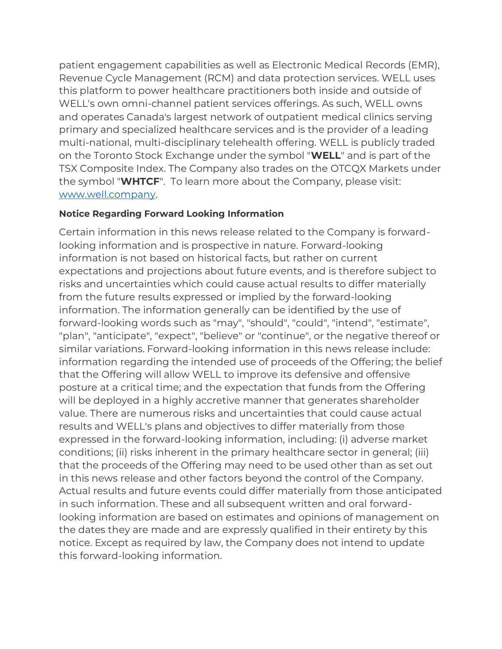patient engagement capabilities as well as Electronic Medical Records (EMR), Revenue Cycle Management (RCM) and data protection services. WELL uses this platform to power healthcare practitioners both inside and outside of WELL's own omni-channel patient services offerings. As such, WELL owns and operates Canada's largest network of outpatient medical clinics serving primary and specialized healthcare services and is the provider of a leading multi-national, multi-disciplinary telehealth offering. WELL is publicly traded on the Toronto Stock Exchange under the symbol "**WELL**" and is part of the TSX Composite Index. The Company also trades on the OTCQX Markets under the symbol "**WHTCF**". To learn more about the Company, please visit: [www.well.company.](https://c212.net/c/link/?t=0&l=en&o=3542567-1&h=3032285375&u=https%3A%2F%2Fwww.well.company%2F&a=www.well.company)

#### **Notice Regarding Forward Looking Information**

Certain information in this news release related to the Company is forwardlooking information and is prospective in nature. Forward-looking information is not based on historical facts, but rather on current expectations and projections about future events, and is therefore subject to risks and uncertainties which could cause actual results to differ materially from the future results expressed or implied by the forward-looking information. The information generally can be identified by the use of forward-looking words such as "may", "should", "could", "intend", "estimate", "plan", "anticipate", "expect", "believe" or "continue", or the negative thereof or similar variations. Forward-looking information in this news release include: information regarding the intended use of proceeds of the Offering; the belief that the Offering will allow WELL to improve its defensive and offensive posture at a critical time; and the expectation that funds from the Offering will be deployed in a highly accretive manner that generates shareholder value. There are numerous risks and uncertainties that could cause actual results and WELL's plans and objectives to differ materially from those expressed in the forward-looking information, including: (i) adverse market conditions; (ii) risks inherent in the primary healthcare sector in general; (iii) that the proceeds of the Offering may need to be used other than as set out in this news release and other factors beyond the control of the Company. Actual results and future events could differ materially from those anticipated in such information. These and all subsequent written and oral forwardlooking information are based on estimates and opinions of management on the dates they are made and are expressly qualified in their entirety by this notice. Except as required by law, the Company does not intend to update this forward-looking information.